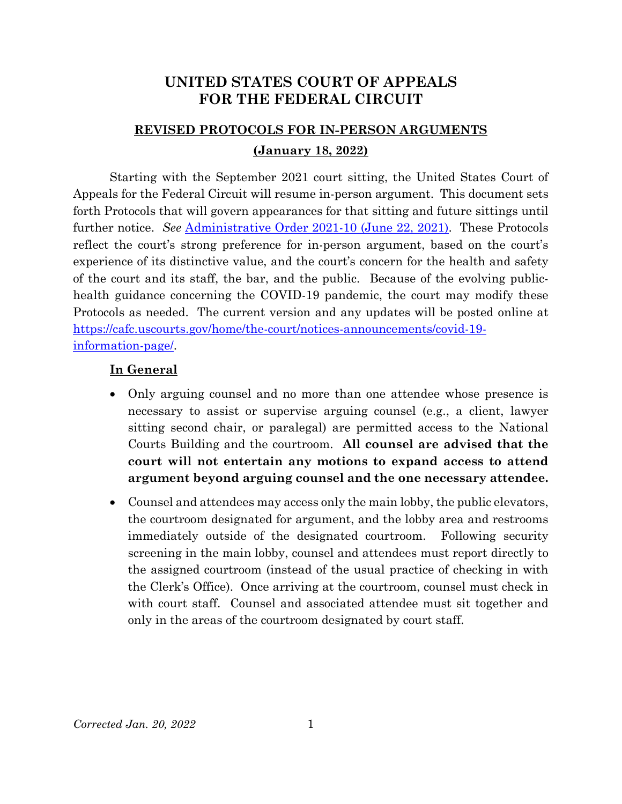## **UNITED STATES COURT OF APPEALS FOR THE FEDERAL CIRCUIT**

# **REVISED PROTOCOLS FOR IN-PERSON ARGUMENTS (January 18, 2022)**

Starting with the September 2021 court sitting, the United States Court of Appeals for the Federal Circuit will resume in-person argument. This document sets forth Protocols that will govern appearances for that sitting and future sittings until further notice. *See* [Administrative Order 2021-10 \(June 22, 2021\).](https://cafc.uscourts.gov/wp-content/uploads/AdministrativeOrder-2021-10-06222021.pdf) These Protocols reflect the court's strong preference for in-person argument, based on the court's experience of its distinctive value, and the court's concern for the health and safety of the court and its staff, the bar, and the public. Because of the evolving publichealth guidance concerning the COVID-19 pandemic, the court may modify these Protocols as needed. The current version and any updates will be posted online at [https://cafc.uscourts.gov/home/the-court/notices-announcements/covid-19](https://cafc.uscourts.gov/home/the-court/notices-announcements/covid-19-information-page/) [information-page/.](https://cafc.uscourts.gov/home/the-court/notices-announcements/covid-19-information-page/)

#### **In General**

- Only arguing counsel and no more than one attendee whose presence is necessary to assist or supervise arguing counsel (e.g., a client, lawyer sitting second chair, or paralegal) are permitted access to the National Courts Building and the courtroom. **All counsel are advised that the court will not entertain any motions to expand access to attend argument beyond arguing counsel and the one necessary attendee.**
- Counsel and attendees may access only the main lobby, the public elevators, the courtroom designated for argument, and the lobby area and restrooms immediately outside of the designated courtroom. Following security screening in the main lobby, counsel and attendees must report directly to the assigned courtroom (instead of the usual practice of checking in with the Clerk's Office). Once arriving at the courtroom, counsel must check in with court staff. Counsel and associated attendee must sit together and only in the areas of the courtroom designated by court staff.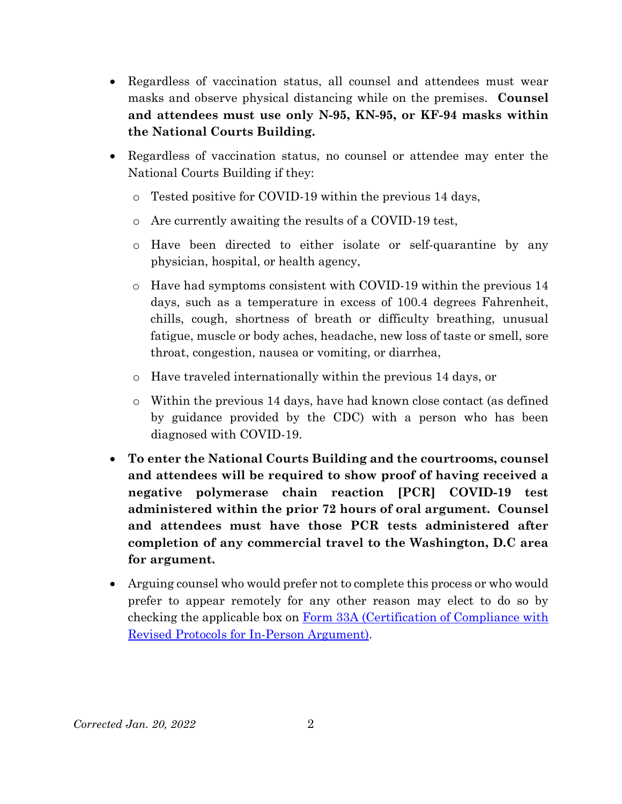- Regardless of vaccination status, all counsel and attendees must wear masks and observe physical distancing while on the premises. **Counsel and attendees must use only N-95, KN-95, or KF-94 masks within the National Courts Building.**
- Regardless of vaccination status, no counsel or attendee may enter the National Courts Building if they:
	- o Tested positive for COVID-19 within the previous 14 days,
	- o Are currently awaiting the results of a COVID-19 test,
	- o Have been directed to either isolate or self-quarantine by any physician, hospital, or health agency,
	- o Have had symptoms consistent with COVID-19 within the previous 14 days, such as a temperature in excess of 100.4 degrees Fahrenheit, chills, cough, shortness of breath or difficulty breathing, unusual fatigue, muscle or body aches, headache, new loss of taste or smell, sore throat, congestion, nausea or vomiting, or diarrhea,
	- o Have traveled internationally within the previous 14 days, or
	- o Within the previous 14 days, have had known close contact (as defined by guidance provided by the CDC) with a person who has been diagnosed with COVID-19.
- **To enter the National Courts Building and the courtrooms, counsel and attendees will be required to show proof of having received a negative polymerase chain reaction [PCR] COVID-19 test administered within the prior 72 hours of oral argument. Counsel and attendees must have those PCR tests administered after completion of any commercial travel to the Washington, D.C area for argument.**
- Arguing counsel who would prefer not to complete this process or who would prefer to appear remotely for any other reason may elect to do so by checking the applicable box on Form 33A [\(Certification of Compliance with](https://cafc.uscourts.gov/wp-content/uploads/form33a.pdf)  [Revised Protocols for In-Person Argument\).](https://cafc.uscourts.gov/wp-content/uploads/form33a.pdf)